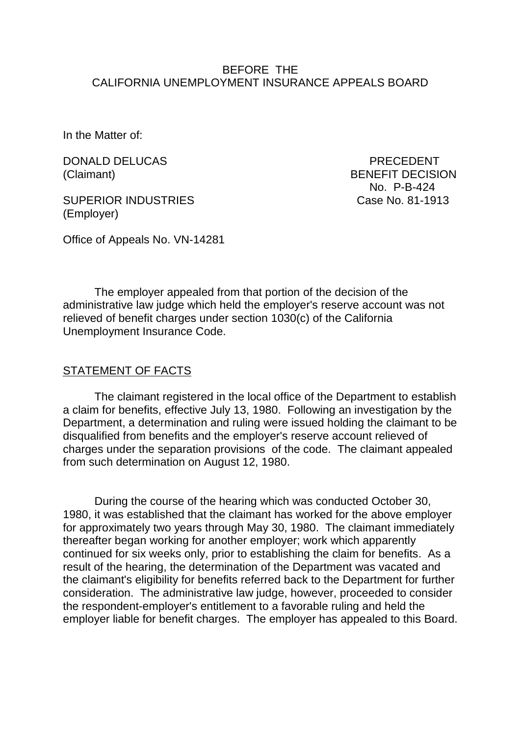### BEFORE THE CALIFORNIA UNEMPLOYMENT INSURANCE APPEALS BOARD

In the Matter of:

DONALD DELUCAS PRECEDENT

SUPERIOR INDUSTRIES Case No. 81-1913 (Employer)

(Claimant) BENEFIT DECISION No. P-B-424

Office of Appeals No. VN-14281

The employer appealed from that portion of the decision of the administrative law judge which held the employer's reserve account was not relieved of benefit charges under section 1030(c) of the California Unemployment Insurance Code.

### STATEMENT OF FACTS

The claimant registered in the local office of the Department to establish a claim for benefits, effective July 13, 1980. Following an investigation by the Department, a determination and ruling were issued holding the claimant to be disqualified from benefits and the employer's reserve account relieved of charges under the separation provisions of the code. The claimant appealed from such determination on August 12, 1980.

During the course of the hearing which was conducted October 30, 1980, it was established that the claimant has worked for the above employer for approximately two years through May 30, 1980. The claimant immediately thereafter began working for another employer; work which apparently continued for six weeks only, prior to establishing the claim for benefits. As a result of the hearing, the determination of the Department was vacated and the claimant's eligibility for benefits referred back to the Department for further consideration. The administrative law judge, however, proceeded to consider the respondent-employer's entitlement to a favorable ruling and held the employer liable for benefit charges. The employer has appealed to this Board.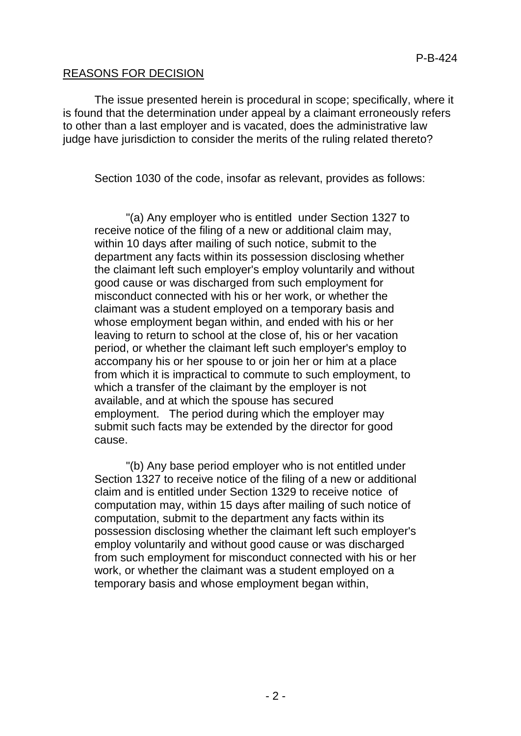### REASONS FOR DECISION

The issue presented herein is procedural in scope; specifically, where it is found that the determination under appeal by a claimant erroneously refers to other than a last employer and is vacated, does the administrative law judge have jurisdiction to consider the merits of the ruling related thereto?

Section 1030 of the code, insofar as relevant, provides as follows:

"(a) Any employer who is entitled under Section 1327 to receive notice of the filing of a new or additional claim may, within 10 days after mailing of such notice, submit to the department any facts within its possession disclosing whether the claimant left such employer's employ voluntarily and without good cause or was discharged from such employment for misconduct connected with his or her work, or whether the claimant was a student employed on a temporary basis and whose employment began within, and ended with his or her leaving to return to school at the close of, his or her vacation period, or whether the claimant left such employer's employ to accompany his or her spouse to or join her or him at a place from which it is impractical to commute to such employment, to which a transfer of the claimant by the employer is not available, and at which the spouse has secured employment. The period during which the employer may submit such facts may be extended by the director for good cause.

"(b) Any base period employer who is not entitled under Section 1327 to receive notice of the filing of a new or additional claim and is entitled under Section 1329 to receive notice of computation may, within 15 days after mailing of such notice of computation, submit to the department any facts within its possession disclosing whether the claimant left such employer's employ voluntarily and without good cause or was discharged from such employment for misconduct connected with his or her work, or whether the claimant was a student employed on a temporary basis and whose employment began within,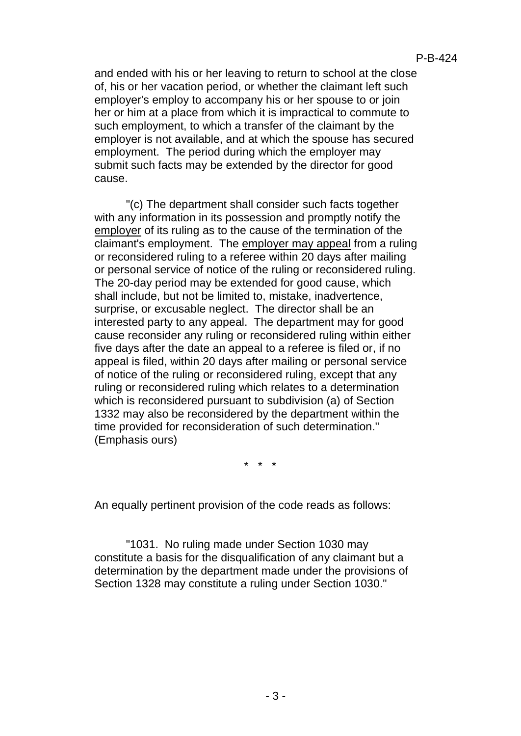and ended with his or her leaving to return to school at the close of, his or her vacation period, or whether the claimant left such employer's employ to accompany his or her spouse to or join her or him at a place from which it is impractical to commute to such employment, to which a transfer of the claimant by the employer is not available, and at which the spouse has secured employment. The period during which the employer may submit such facts may be extended by the director for good cause.

"(c) The department shall consider such facts together with any information in its possession and promptly notify the employer of its ruling as to the cause of the termination of the claimant's employment. The employer may appeal from a ruling or reconsidered ruling to a referee within 20 days after mailing or personal service of notice of the ruling or reconsidered ruling. The 20-day period may be extended for good cause, which shall include, but not be limited to, mistake, inadvertence, surprise, or excusable neglect. The director shall be an interested party to any appeal. The department may for good cause reconsider any ruling or reconsidered ruling within either five days after the date an appeal to a referee is filed or, if no appeal is filed, within 20 days after mailing or personal service of notice of the ruling or reconsidered ruling, except that any ruling or reconsidered ruling which relates to a determination which is reconsidered pursuant to subdivision (a) of Section 1332 may also be reconsidered by the department within the time provided for reconsideration of such determination." (Emphasis ours)

\* \* \*

An equally pertinent provision of the code reads as follows:

"1031. No ruling made under Section 1030 may constitute a basis for the disqualification of any claimant but a determination by the department made under the provisions of Section 1328 may constitute a ruling under Section 1030."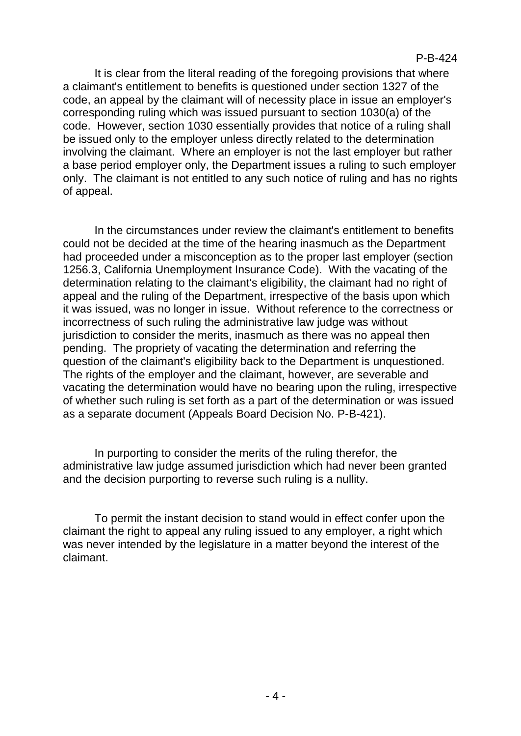It is clear from the literal reading of the foregoing provisions that where a claimant's entitlement to benefits is questioned under section 1327 of the code, an appeal by the claimant will of necessity place in issue an employer's corresponding ruling which was issued pursuant to section 1030(a) of the code. However, section 1030 essentially provides that notice of a ruling shall be issued only to the employer unless directly related to the determination involving the claimant. Where an employer is not the last employer but rather a base period employer only, the Department issues a ruling to such employer only. The claimant is not entitled to any such notice of ruling and has no rights of appeal.

In the circumstances under review the claimant's entitlement to benefits could not be decided at the time of the hearing inasmuch as the Department had proceeded under a misconception as to the proper last employer (section 1256.3, California Unemployment Insurance Code). With the vacating of the determination relating to the claimant's eligibility, the claimant had no right of appeal and the ruling of the Department, irrespective of the basis upon which it was issued, was no longer in issue. Without reference to the correctness or incorrectness of such ruling the administrative law judge was without jurisdiction to consider the merits, inasmuch as there was no appeal then pending. The propriety of vacating the determination and referring the question of the claimant's eligibility back to the Department is unquestioned. The rights of the employer and the claimant, however, are severable and vacating the determination would have no bearing upon the ruling, irrespective of whether such ruling is set forth as a part of the determination or was issued as a separate document (Appeals Board Decision No. P-B-421).

In purporting to consider the merits of the ruling therefor, the administrative law judge assumed jurisdiction which had never been granted and the decision purporting to reverse such ruling is a nullity.

To permit the instant decision to stand would in effect confer upon the claimant the right to appeal any ruling issued to any employer, a right which was never intended by the legislature in a matter beyond the interest of the claimant.